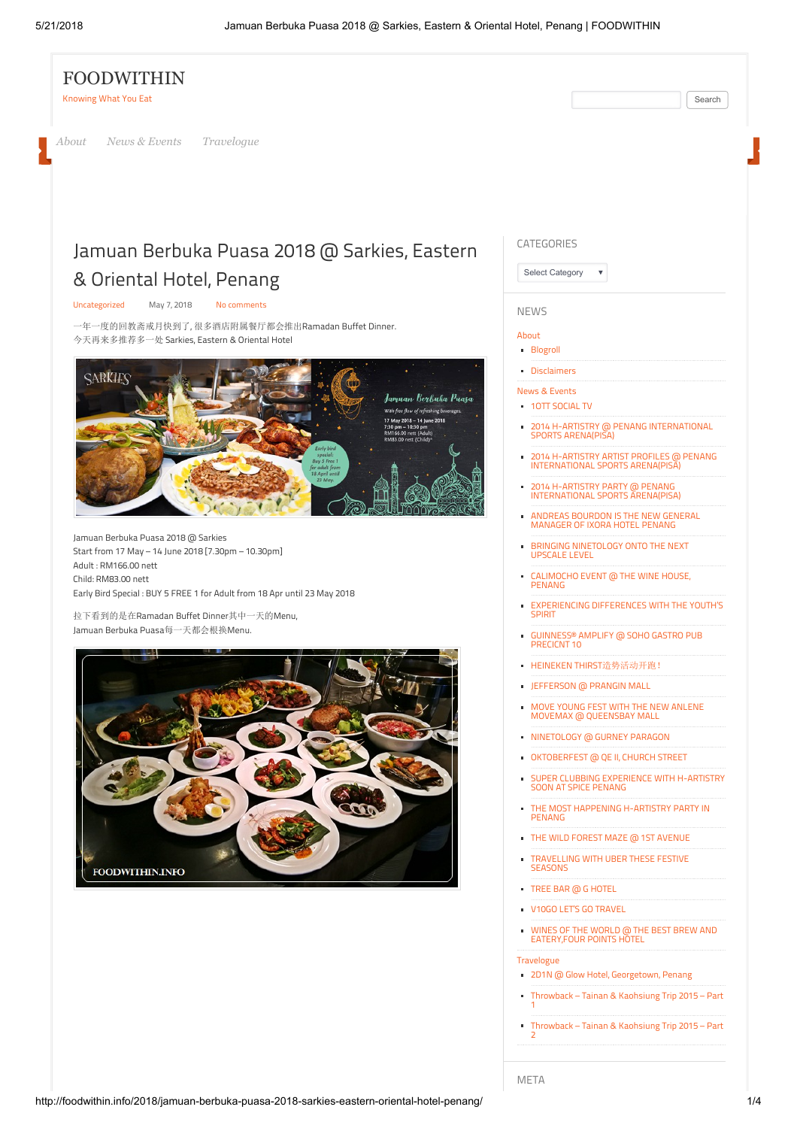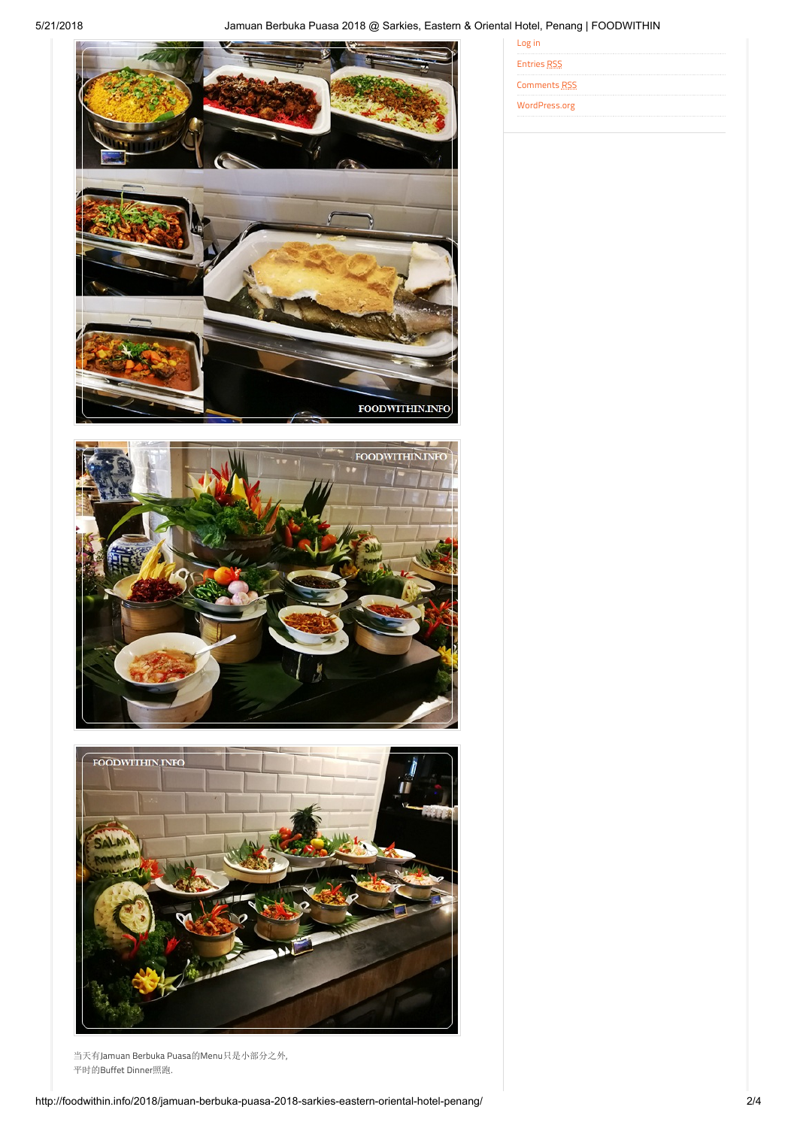



当天有Jamuan Berbuka Puasa的Menu只是小部分之外, 平时的Buffet Dinner照跑.

| 1000, 1000, 9100    |  |  |  |  |  |
|---------------------|--|--|--|--|--|
| Log in              |  |  |  |  |  |
| <b>Entries RSS</b>  |  |  |  |  |  |
| <b>Comments RSS</b> |  |  |  |  |  |
| WordPress.org       |  |  |  |  |  |
|                     |  |  |  |  |  |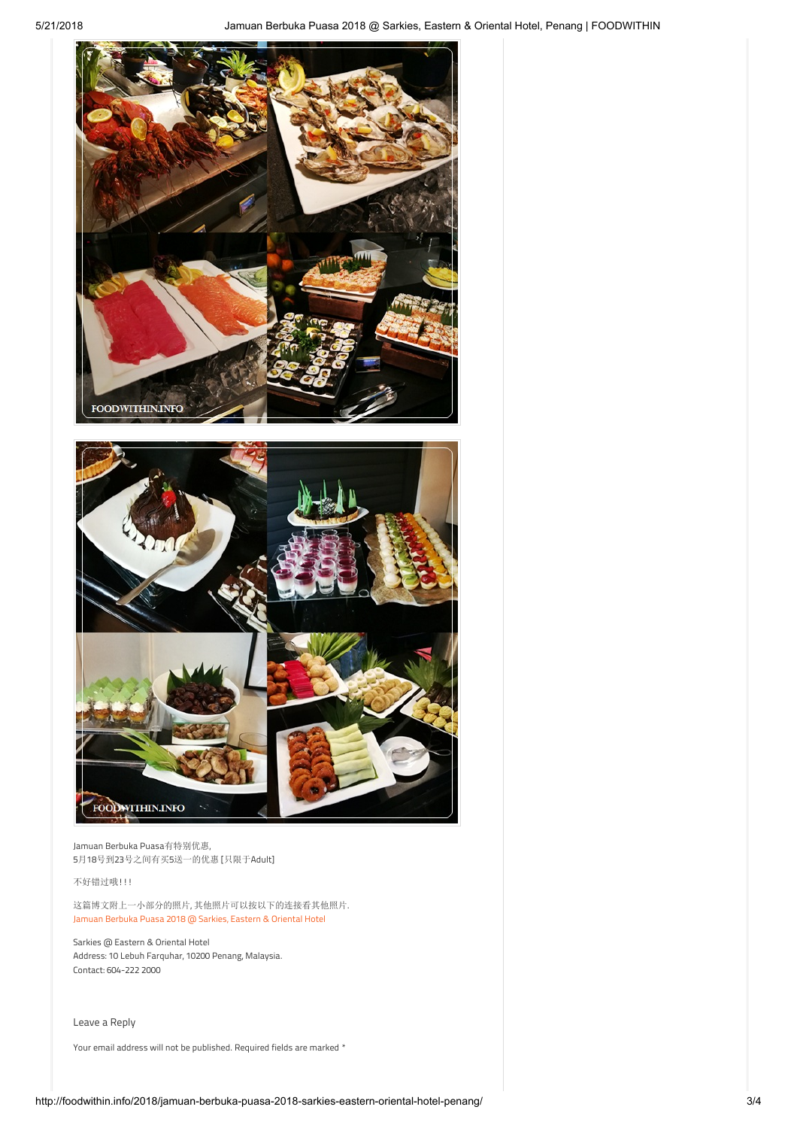



Jamuan Berbuka Puasa有特别优惠, 5月18号到23号之间有买5送一的优惠 [只限于Adult]

## 不好错过哦!!!

这篇博文附上一小部分的照片, 其他照片可以按以下的连接看其他照片. [Jamuan Berbuka Puasa 2018 @ Sarkies, Eastern & Oriental Hotel](https://www.facebook.com/pg/foodwithininfo/photos/?tab=album&album_id=187863425192926)

Sarkies @ Eastern & Oriental Hotel Address: 10 Lebuh Farquhar, 10200 Penang, Malaysia. Contact: 604-222 2000

<span id="page-2-0"></span>Leave a Reply

Your email address will not be published. Required fields are marked \*